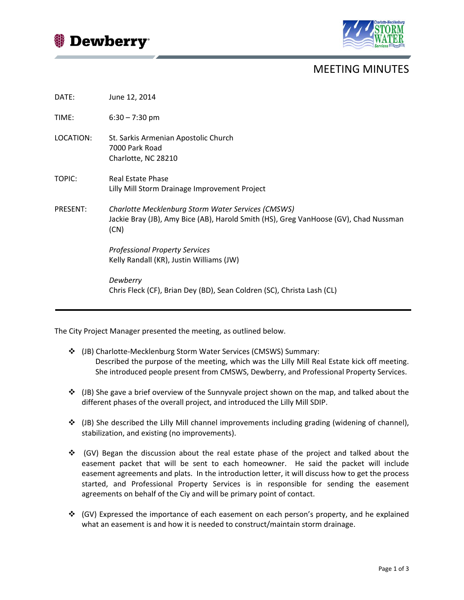Dewberry<sup>®</sup>



## MEETING MINUTES

| DATE:           | June 12, 2014                                                                                                                                      |
|-----------------|----------------------------------------------------------------------------------------------------------------------------------------------------|
| TIME:           | $6:30 - 7:30$ pm                                                                                                                                   |
| LOCATION:       | St. Sarkis Armenian Apostolic Church<br>7000 Park Road<br>Charlotte, NC 28210                                                                      |
| TOPIC:          | Real Estate Phase<br>Lilly Mill Storm Drainage Improvement Project                                                                                 |
| <b>PRESENT:</b> | Charlotte Mecklenburg Storm Water Services (CMSWS)<br>Jackie Bray (JB), Amy Bice (AB), Harold Smith (HS), Greg VanHoose (GV), Chad Nussman<br>(CN) |
|                 | <b>Professional Property Services</b><br>Kelly Randall (KR), Justin Williams (JW)                                                                  |
|                 | Dewberry<br>Chris Fleck (CF), Brian Dey (BD), Sean Coldren (SC), Christa Lash (CL)                                                                 |

The City Project Manager presented the meeting, as outlined below.

- (JB) Charlotte-Mecklenburg Storm Water Services (CMSWS) Summary: Described the purpose of the meeting, which was the Lilly Mill Real Estate kick off meeting. She introduced people present from CMSWS, Dewberry, and Professional Property Services.
- $\div$  (JB) She gave a brief overview of the Sunnyvale project shown on the map, and talked about the different phases of the overall project, and introduced the Lilly Mill SDIP.
- (JB) She described the Lilly Mill channel improvements including grading (widening of channel), stabilization, and existing (no improvements).
- $\div$  (GV) Began the discussion about the real estate phase of the project and talked about the easement packet that will be sent to each homeowner. He said the packet will include easement agreements and plats. In the introduction letter, it will discuss how to get the process started, and Professional Property Services is in responsible for sending the easement agreements on behalf of the Ciy and will be primary point of contact.
- (GV) Expressed the importance of each easement on each person's property, and he explained what an easement is and how it is needed to construct/maintain storm drainage.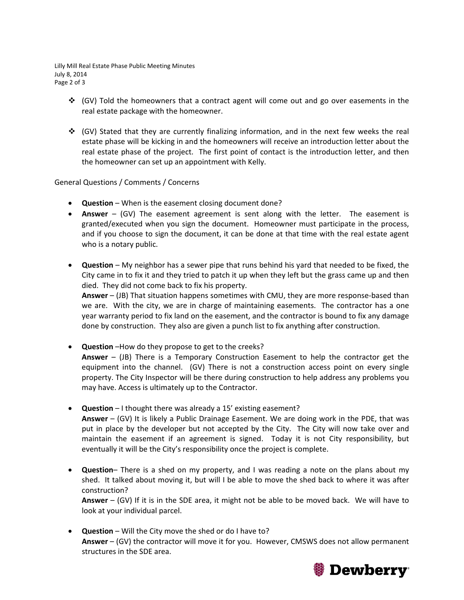Lilly Mill Real Estate Phase Public Meeting Minutes July 8, 2014 Page 2 of 3

- $\div$  (GV) Told the homeowners that a contract agent will come out and go over easements in the real estate package with the homeowner.
- $\div$  (GV) Stated that they are currently finalizing information, and in the next few weeks the real estate phase will be kicking in and the homeowners will receive an introduction letter about the real estate phase of the project. The first point of contact is the introduction letter, and then the homeowner can set up an appointment with Kelly.

## General Questions / Comments / Concerns

- **Question** When is the easement closing document done?
- **Answer** (GV) The easement agreement is sent along with the letter. The easement is granted/executed when you sign the document. Homeowner must participate in the process, and if you choose to sign the document, it can be done at that time with the real estate agent who is a notary public.
- **Question** My neighbor has a sewer pipe that runs behind his yard that needed to be fixed, the City came in to fix it and they tried to patch it up when they left but the grass came up and then died. They did not come back to fix his property.

**Answer** – (JB) That situation happens sometimes with CMU, they are more response-based than we are. With the city, we are in charge of maintaining easements. The contractor has a one year warranty period to fix land on the easement, and the contractor is bound to fix any damage done by construction. They also are given a punch list to fix anything after construction.

- **Question** –How do they propose to get to the creeks? **Answer** – (JB) There is a Temporary Construction Easement to help the contractor get the equipment into the channel. (GV) There is not a construction access point on every single property. The City Inspector will be there during construction to help address any problems you may have. Access is ultimately up to the Contractor.
- **Question** I thought there was already a 15' existing easement? **Answer** – (GV) It is likely a Public Drainage Easement. We are doing work in the PDE, that was put in place by the developer but not accepted by the City. The City will now take over and maintain the easement if an agreement is signed. Today it is not City responsibility, but eventually it will be the City's responsibility once the project is complete.
- **Question** There is a shed on my property, and I was reading a note on the plans about my shed. It talked about moving it, but will I be able to move the shed back to where it was after construction?

**Answer** – (GV) If it is in the SDE area, it might not be able to be moved back. We will have to look at your individual parcel.

• **Question** – Will the City move the shed or do I have to? **Answer** – (GV) the contractor will move it for you. However, CMSWS does not allow permanent structures in the SDE area.